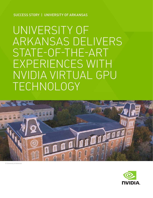SUCCESS STORY | UNIVERSITY OF ARKANSAS

# UNIVERSITY OF ARKANSAS DELIVERS STATE-OF-THE-ART EXPERIENCES WITH NVIDIA VIRTUAL GPU TECHNOLOGY



© University of Arkansas

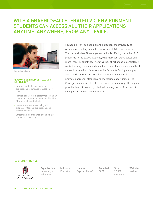## WITH A GRAPHICS-ACCELERATED VDI ENVIRONMENT, STUDENTS CAN ACCESS ALL THEIR APPLICATIONS— ANYTIME, ANYWHERE, FROM ANY DEVICE.



© University of Arkansas

#### **REASONS FOR NVIDIA VIRTUAL GPU TECHNOLOGY**

- > Improve students' access to lab applications regardless of location or device
- > Provide desktop-like performance on any type of device, even on low-cost PCs like Chromebooks and tablets
- > Lower latency when working with graphics-intensive applications and streaming video
- > Streamline maintenance of end points across the university

Founded in 1871 as a land-grant institution, the University of Arkansas is the flagship of the University of Arkansas System. The university has 10 colleges and schools offering more than 210 programs for its 27,000 students, who represent all 50 states and more than 120 countries. The University of Arkansas is consistently ranked among the nation's top public research universities and best values in education. It's known for its "students first" philosophy, and it works hard to ensure a low student-to-faculty ratio that promotes personal attention and mentoring opportunities. The Carnegie Foundation classifies the university as having "the highest possible level of research," placing it among the top 2 percent of colleges and universities nationwide.

#### CUSTOMER PROFILE



**Organization**  University of Arkansas

**Industry**  Education **Location** Fayetteville, AR **Founded** 1871

**Size** 27,000 students

**Website**  uark.edu

SUCCESS STORY | UNIVERSITY OF ARKANSAS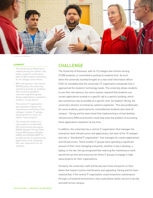

© University of Arkansas

#### **SUMMARY**

- > The University of Arkansas is ranked among the nation's top public research universities, with 27,000 students attending its 10 colleges and schools.
- > With a bring-your-own-device (BYOD) policy, the university wanted to provide its students with access to graphicsintensive engineering and design applications, anywhere, anytime, on any device.
- > The central IT organization also wanted to lighten the maintenance workload of the colleges' smaller IT groups, allowing them to focus on higher-value projects.
- > The university rolled out a new graphics-accelerated VDI environment leveraging NVIDIA Quadro**®** Virtual Data Center Workstation (Quadro vDWS) and NVIDIA GRID**®** to provide access to powerful lab applications and a desktoplike user experience for its students.

## CHALLENGE

The University of Arkansas, with its 10 colleges and schools serving 27,000 students, is committed to putting its students first. As such, when the university recently brought on a new chief information officer (CIO), he mandated that the university's IT organization reevaluate how it approached the students' technology needs. The university allows students to use their own devices, but some classes required that students use certain applications located in a specific lab in a specific building, which was sometimes only accessible at a specific time. As Stephen Herzig, the university's director of enterprise systems explained, "This was problematic for some students, particularly for nontraditional students who lived off campus." Herzig and his team knew that implementing a virtual desktop infrastructure (VDI) environment could help solve the problem of accessing these applications anywhere at any time.

In addition, the university has a central IT organization that manages the enterprise-level infrastructure and applications, but each of the 10 colleges also has a "distributed IT organization" that manages its custom applications and infrastructure. These smaller IT groups were spending a significant amount of their time managing end points, whether it was a desktop, a laptop, or the lab. Herzig recognized that reducing the maintenance work would free up time and resources for these IT groups to engage in highvalue projects for their organizations.

Similarly, the university's staff and faculty each have end points on their desks that require routine maintenance and upgrading. Herzig and his team realized that, if the central IT organization could streamline maintenance through a virtualized environment, they could deliver better service to faculty and staff across campus.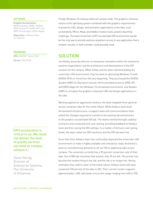#### **SOFTWARE**

**Graphics Acceleration:** NVIDIA Quadro vDWS, NVIDIA GRID Virtual PC (GRID vPC) and GRID Virtual Apps (GRID vApps)

**Hypervisor:** VMware View on vSphere

#### **HARDWARE**

**GPU:** NVIDIA® Tesla® M10 **Server:** Dell R730

"GPU acceleration is critical to us. We could not deliver the kind of quality services we need on campus without it."

Steve Herzig Director of Enterprise Systems, The University of Arkansas

Finally, Windows 10 is being rolled out campus wide. The graphics-intensive nature of the operating system combined with the graphics requirements of powerful CAD, design, and animation applications in the labs, such as Autodesk, Rhino, Maya, and Adobe Creative Suite, posed a daunting challenge. The team knew that a GPU-accelerated VDI environment would be the only way to provide anytime-anywhere access to any application that a student, faculty, or staff member could possibly need.

## **SOLUTION**

Jon Kelley, associate director of enterprise innovation within the enterprise systems organization, led the architecture and development of the VDI solution for the campus. When Kelley and his team started building the university's VDI environment, they focused on optimizing Windows 10 with NVIDIA GPUs in mind from the very beginning. They purchased the NVIDIA Quadro vDWS for Education license, which provided access to GRID vPC and GRID vApps for the Windows 10 virtualized environment, and Quadro vDWS to virtualize the graphics-intensive CAD and design applications in the labs.

Working against an aggressive timeline, the team targeted three generalaccess computer labs for the initial rollout. While Kelley's team built the backend infrastructure, a support team and communications team vetted the changes required to transform the existing lab environment to the graphics-accelerated VDI lab. The teams worked through usability scenarios and conducted end-user testing, providing feedback to Kelley's team and fine-tuning the VDI settings. In a matter of 36 hours over spring break, the team rolled out 300 machines and the VDI lab went live.

Since that time, Kelley's team has continually improved the university's VDI environment to make it highly available and enterprise ready. And there's been an overwhelming demand to roll out VDI to additional labs across campus. The university currently has a 90 percent conversion rate of their labs. Out of 800 lab machines that existed, only 75 are left. The printer has become the loudest thing in the lab, and the lab is no longer hot. Herzig estimates that, within a year of the initial rollout, Kelley's team will have converted 100 percent of the labs to VDI. Their current cluster supports approximately 1,400, with peak concurrent usage ranging from 600 to 700.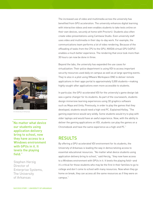The increased use of video and multimedia across the university has benefited from GPU acceleration. The university enhances digital learning with interactive videos and even enables students to take tests online on their own devices, securely at home with ProctorU. Students also often create video presentations using Camtasia Studio. Even university staff uses video and multimedia in their day-to-day work. For example, the communications team performs a lot of video rendering. Because of the offloading of tasks from the CPU to the GPU, NVIDIA virtual GPU (vGPU) enables a much better experience. The rendering that once took more than 30 hours can now be done in three.

Beyond the labs, the university has expanded the use cases for virtualization: Their police department is using VDI to access important security resources used daily on campus as well as at large sporting events. They're also in a pilot using VMware Workspace ONE to deliver remote applications in their apps portal to approximately 5,000 students—making highly sought-after applications even more accessible to students.

In particular, the GPU-accelerated VDI for the university's game design lab was a game changer for its students. As part of the coursework, students design immersive learning experiences using 3D graphics software such as Maya and Unity. Previously, in order to play the games that they developed, students would need a high-end PC. Explained Kelley, "The gaming experience would vary wildly. Some students would try to play with older laptops and would have an awful experience. Now, with the ability to deliver the gaming applications on VDI, students can play the games on a Chromebook and have the same experience as a high-end PC."

## RESULTS

By offering a GPU-accelerated VDI environment for its students, the University of Arkansas is leading the way in democratizing access to essential educational resources. "No matter what device students using application delivery bring to school," said Herzig, "they now have access to a Windows environment with GPUs in it. It levels the playing field—and it's critical for those students who may be the first in their families to go to college and don't come to school with many resources. Now when they go home on break, they can access all the same resources as if they were on campus."



© University of Arkansas

"No matter what device our students using application delivery bring to school, now they have access to a Windows environment with GPUs in it. It levels the playing field."

Stephen Herzig Director of Enterprise Systems, The University of Arkansas